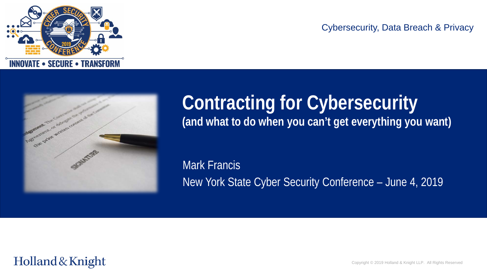

#### Cybersecurity, Data Breach & Privacy



# **Contracting for Cybersecurity (and what to do when you can't get everything you want)**

Mark Francis New York State Cyber Security Conference – June 4, 2019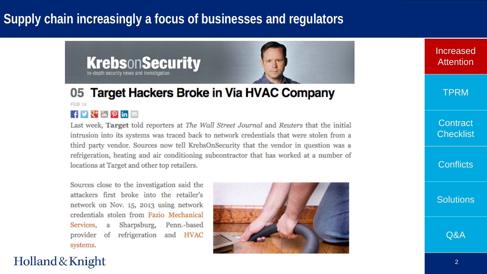# **Supply chain increasingly a focus of businesses and regulators**



#### 05 Target Hackers Broke in Via HVAC Company **FEB 14**  $\mathbf{f}$   $\mathbf{y}$   $\mathbf{R}^+$   $\mathbf{\omega}$   $\mathbf{\rho}$  in  $\mathbf{m}$

Last week, Target told reporters at The Wall Street Journal and Reuters that the initial intrusion into its systems was traced back to network credentials that were stolen from a third party vendor. Sources now tell KrebsOnSecurity that the vendor in question was a refrigeration, heating and air conditioning subcontractor that has worked at a number of locations at Target and other top retailers.

Sources close to the investigation said the attackers first broke into the retailer's network on Nov. 15, 2013 using network credentials stolen from Fazio Mechanical Services, a Sharpsburg, Penn.-based provider of refrigeration and HVAC systems.



Increased **Attention** 

TPRM

**Contract Checklist** 

**Conflicts** 

**Solutions** 

Q&A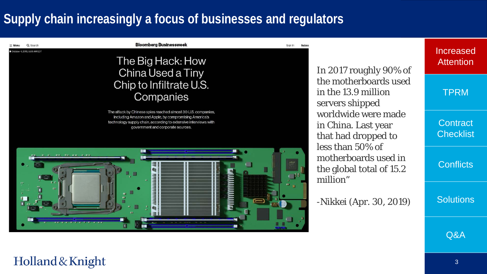# **Supply chain increasingly a focus of businesses and regulators**

Q Search October 4, 2018, 5:00 AM ED1

#### **Bloomberg Businessweek**

#### The Big Hack: How China Used a Tiny Chip to Infiltrate U.S. Companies

The attack by Chinese spies reached almost 30 U.S. companies, including Amazon and Apple, by compromising America's technology supply chain, according to extensive interviews with government and corporate sources.



In 2017 roughly 90% of the motherboards used in the 13.9 million servers shipped worldwide were made in China. Last year that had dropped to less than 50% of motherboards used in the global total of 15.2 million"

Sign In

-Nikkei (Apr. 30, 2019)

#### Increased **Attention**

TPRM

**Contract Checklist** 

**Conflicts** 

**Solutions** 

Q&A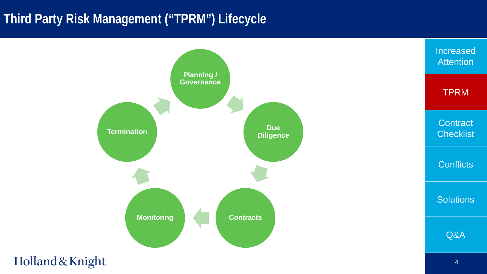# **Third Party Risk Management ("TPRM") Lifecycle**

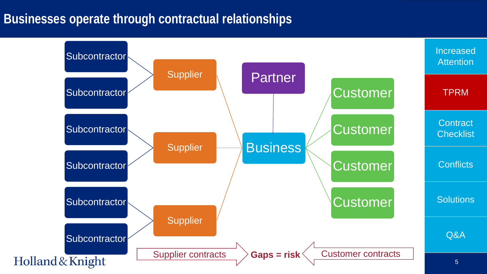### **Businesses operate through contractual relationships**

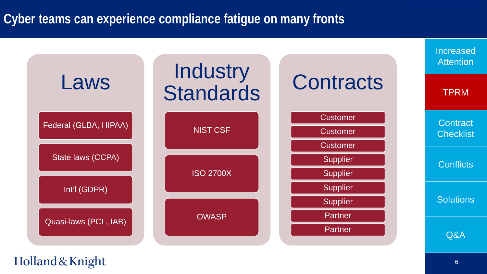# **Cyber teams can experience compliance fatigue on many fronts**

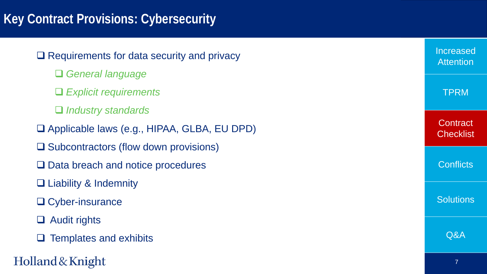# **Key Contract Provisions: Cybersecurity**

 $\Box$  Requirements for data security and privacy

- *General language*
- *Explicit requirements*
- *Industry standards*
- Applicable laws (e.g., HIPAA, GLBA, EU DPD)
- $\square$  Subcontractors (flow down provisions)
- □ Data breach and notice procedures
- □ Liability & Indemnity
- □ Cyber-insurance
- □ Audit rights
- $\Box$  Templates and exhibits

Holland & Knight

| Increased<br><b>Attention</b> |
|-------------------------------|
| <b>TPRM</b>                   |
| Contract<br><b>Checklist</b>  |
| <b>Conflicts</b>              |
| <b>Solutions</b>              |
| Q&A                           |
|                               |

7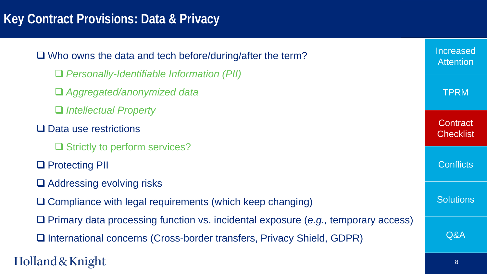# **Key Contract Provisions: Data & Privacy**

| $\Box$ Who owns the data and tech before/during/after the term?                          |             |  |
|------------------------------------------------------------------------------------------|-------------|--|
| $\Box$ Personally-Identifiable Information (PII)                                         |             |  |
| □ Aggregated/anonymized data                                                             | <b>TPRM</b> |  |
| $\Box$ Intellectual Property                                                             |             |  |
| $\Box$ Data use restrictions                                                             |             |  |
| $\Box$ Strictly to perform services?                                                     |             |  |
| □ Protecting PII                                                                         |             |  |
| $\Box$ Addressing evolving risks                                                         |             |  |
| $\Box$ Compliance with legal requirements (which keep changing)                          |             |  |
| $\Box$ Primary data processing function vs. incidental exposure (e.g., temporary access) |             |  |
| □ International concerns (Cross-border transfers, Privacy Shield, GDPR)                  | Q&A         |  |
| Holland & Knight                                                                         |             |  |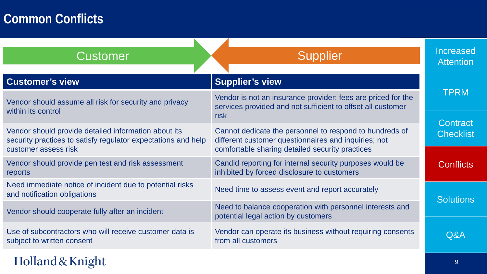# **Common Conflicts**

| <b>Customer</b>                                                                                                       | <b>Supplier</b>                                                                                                             | Increased<br><b>Attention</b> |
|-----------------------------------------------------------------------------------------------------------------------|-----------------------------------------------------------------------------------------------------------------------------|-------------------------------|
| <b>Customer's view</b>                                                                                                | <b>Supplier's view</b>                                                                                                      |                               |
| Vendor should assume all risk for security and privacy<br>within its control                                          | Vendor is not an insurance provider; fees are priced for the<br>services provided and not sufficient to offset all customer | TPRM                          |
|                                                                                                                       | risk                                                                                                                        | Contract                      |
| Vendor should provide detailed information about its<br>security practices to satisfy regulator expectations and help | Cannot dedicate the personnel to respond to hundreds of<br>different customer questionnaires and inquiries; not             | <b>Checklist</b>              |
| customer assess risk                                                                                                  | comfortable sharing detailed security practices                                                                             |                               |
| Vendor should provide pen test and risk assessment<br>reports                                                         | Candid reporting for internal security purposes would be<br>inhibited by forced disclosure to customers                     | <b>Conflicts</b>              |
| Need immediate notice of incident due to potential risks<br>and notification obligations                              | Need time to assess event and report accurately                                                                             | <b>Solutions</b>              |
| Vendor should cooperate fully after an incident                                                                       | Need to balance cooperation with personnel interests and<br>potential legal action by customers                             |                               |
| Use of subcontractors who will receive customer data is<br>subject to written consent                                 | Vendor can operate its business without requiring consents<br>from all customers                                            | Q&A                           |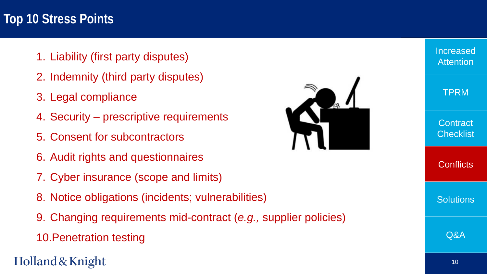### **Top 10 Stress Points**

- 1. Liability (first party disputes)
- 2. Indemnity (third party disputes)
- 3. Legal compliance
- 4. Security prescriptive requirements
- 5. Consent for subcontractors
- 6. Audit rights and questionnaires
- 7. Cyber insurance (scope and limits)
- 8. Notice obligations (incidents; vulnerabilities)
- 9. Changing requirements mid-contract (*e.g.,* supplier policies)
- 10.Penetration testing

# Holland & Knight



Increased **Attention** TPRM **Contract Checklist Conflicts Solutions** 

Q&A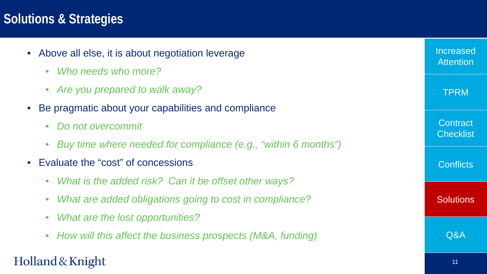### **Solutions & Strategies**

- Above all else, it is about negotiation leverage
	- *Who needs who more?*
	- *Are you prepared to walk away?*
- Be pragmatic about your capabilities and compliance
	- *Do not overcommit*
	- *Buy time where needed for compliance (e.g., "within 6 months")*
- Evaluate the "cost" of concessions
	- *What is the added risk? Can it be offset other ways?*
	- *What are added obligations going to cost in compliance?*
	- *What are the lost opportunities?*
	- *How will this affect the business prospects (M&A, funding)*

### Holland & Knight

Increased

**Attention** 

TPRM

**Contract** 

**Checklist** 

**Conflicts** 

**Solutions** 

Q&A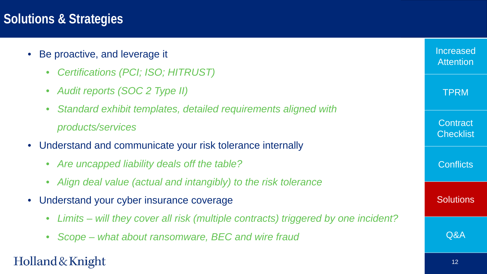### **Solutions & Strategies**

- Be proactive, and leverage it
	- *Certifications (PCI; ISO; HITRUST)*
	- *Audit reports (SOC 2 Type II)*
	- *Standard exhibit templates, detailed requirements aligned with products/services*
- Understand and communicate your risk tolerance internally
	- *Are uncapped liability deals off the table?*
	- *Align deal value (actual and intangibly) to the risk tolerance*
- Understand your cyber insurance coverage
	- *Limits – will they cover all risk (multiple contracts) triggered by one incident?*
	- *Scope – what about ransomware, BEC and wire fraud*

| Increased<br><b>Attention</b>       |
|-------------------------------------|
| TPRM                                |
| <b>Contract</b><br><b>Checklist</b> |
| <b>Conflicts</b>                    |
| <b>Solutions</b>                    |
| Q&A                                 |
| 12                                  |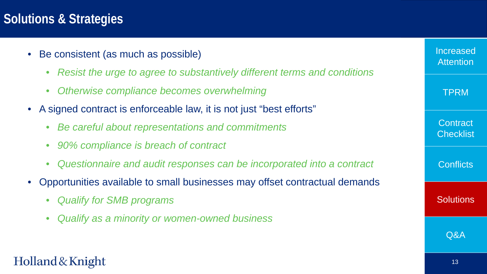### **Solutions & Strategies**

- Be consistent (as much as possible)
	- *Resist the urge to agree to substantively different terms and conditions*
	- *Otherwise compliance becomes overwhelming*
- A signed contract is enforceable law, it is not just "best efforts"
	- *Be careful about representations and commitments*
	- *90% compliance is breach of contract*
	- *Questionnaire and audit responses can be incorporated into a contract*
- Opportunities available to small businesses may offset contractual demands
	- *Qualify for SMB programs*
	- *Qualify as a minority or women-owned business*

#### Increased **Attention**

TPRM

**Contract Checklist** 

**Conflicts** 

**Solutions** 

Q&A